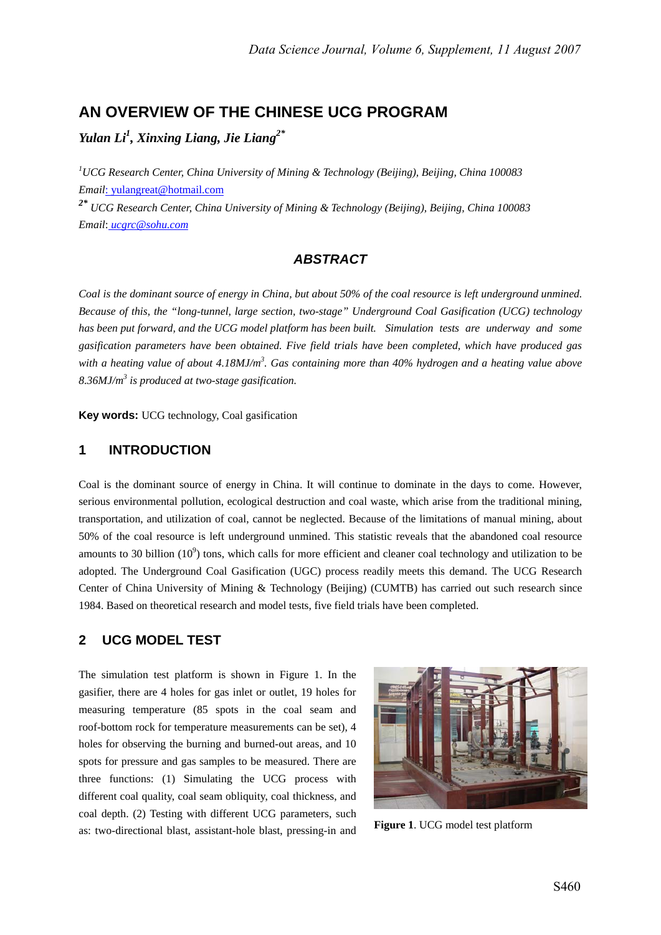# **AN OVERVIEW OF THE CHINESE UCG PROGRAM**

*Yulan Li1 , Xinxing Liang, Jie Liang2\**

*1 UCG Research Center, China University of Mining & Technology (Beijing), Beijing, China 100083 Email*: yulangreat@hotmail.com

*2\* UCG Research Center, China University of Mining & Technology (Beijing), Beijing, China 100083 Email*: *ucgrc@sohu.com*

#### *ABSTRACT*

*Coal is the dominant source of energy in China, but about 50% of the coal resource is left underground unmined. Because of this, the "long-tunnel, large section, two-stage" Underground Coal Gasification (UCG) technology has been put forward, and the UCG model platform has been built. Simulation tests are underway and some gasification parameters have been obtained. Five field trials have been completed, which have produced gas*  with a heating value of about 4.18MJ/m<sup>3</sup>. Gas containing more than 40% hydrogen and a heating value above *8.36MJ/m<sup>3</sup> is produced at two-stage gasification.* 

**Key words:** UCG technology, Coal gasification

#### **1 INTRODUCTION**

Coal is the dominant source of energy in China. It will continue to dominate in the days to come. However, serious environmental pollution, ecological destruction and coal waste, which arise from the traditional mining, transportation, and utilization of coal, cannot be neglected. Because of the limitations of manual mining, about 50% of the coal resource is left underground unmined. This statistic reveals that the abandoned coal resource amounts to 30 billion  $(10^9)$  tons, which calls for more efficient and cleaner coal technology and utilization to be adopted. The Underground Coal Gasification (UGC) process readily meets this demand. The UCG Research Center of China University of Mining & Technology (Beijing) (CUMTB) has carried out such research since 1984. Based on theoretical research and model tests, five field trials have been completed.

#### **2 UCG MODEL TEST**

The simulation test platform is shown in Figure 1. In the gasifier, there are 4 holes for gas inlet or outlet, 19 holes for measuring temperature (85 spots in the coal seam and roof-bottom rock for temperature measurements can be set), 4 holes for observing the burning and burned-out areas, and 10 spots for pressure and gas samples to be measured. There are three functions: (1) Simulating the UCG process with different coal quality, coal seam obliquity, coal thickness, and coal depth. (2) Testing with different UCG parameters, such as: two-directional blast, assistant-hole blast, pressing-in and **Figure 1**. UCG model test platform

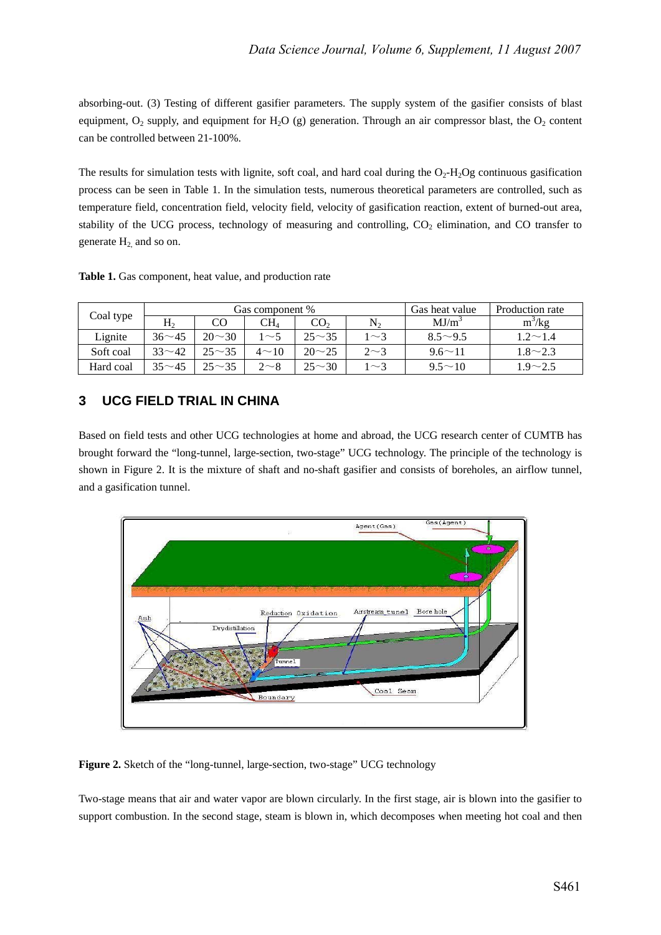absorbing-out. (3) Testing of different gasifier parameters. The supply system of the gasifier consists of blast equipment,  $O_2$  supply, and equipment for  $H_2O$  (g) generation. Through an air compressor blast, the  $O_2$  content can be controlled between 21-100%.

The results for simulation tests with lignite, soft coal, and hard coal during the  $O_2$ -H<sub>2</sub>Og continuous gasification process can be seen in Table 1. In the simulation tests, numerous theoretical parameters are controlled, such as temperature field, concentration field, velocity field, velocity of gasification reaction, extent of burned-out area, stability of the UCG process, technology of measuring and controlling, CO<sub>2</sub> elimination, and CO transfer to generate  $H_2$  and so on.

Table 1. Gas component, heat value, and production rate

| Coal type |              |               | Gas component % | Production rate<br>Gas heat value |           |                   |                      |
|-----------|--------------|---------------|-----------------|-----------------------------------|-----------|-------------------|----------------------|
|           | H,           |               | CH1             | CO <sub>2</sub>                   | N,        | MJ/m <sup>3</sup> | $m^3/kg$             |
| Lignite   | $36 \sim 45$ | $20 \sim 30$  | $\sim$ 5        | $25 - 35$                         | $1\sim$ 3 | $8.5^{\sim}9.5$   | $1.2\!\!\simeq\!1.4$ |
| Soft coal | $33 - 42$    | $25^{\sim}35$ | $4 \sim 10$     | $20 - 25$                         | $2\sim3$  | $9.6 \sim 11$     | $1.8 \sim 2.3$       |
| Hard coal | $35 - 45$    | $25^{\sim}35$ | $2\sim8$        | $25^{\sim}30$                     | $\sim$ 3  | $9.5^{\sim}10$    | $1.9 - 2.5$          |

## **3 UCG FIELD TRIAL IN CHINA**

Based on field tests and other UCG technologies at home and abroad, the UCG research center of CUMTB has brought forward the "long-tunnel, large-section, two-stage" UCG technology. The principle of the technology is shown in Figure 2. It is the mixture of shaft and no-shaft gasifier and consists of boreholes, an airflow tunnel, and a gasification tunnel.



Figure 2. Sketch of the "long-tunnel, large-section, two-stage" UCG technology

Two-stage means that air and water vapor are blown circularly. In the first stage, air is blown into the gasifier to support combustion. In the second stage, steam is blown in, which decomposes when meeting hot coal and then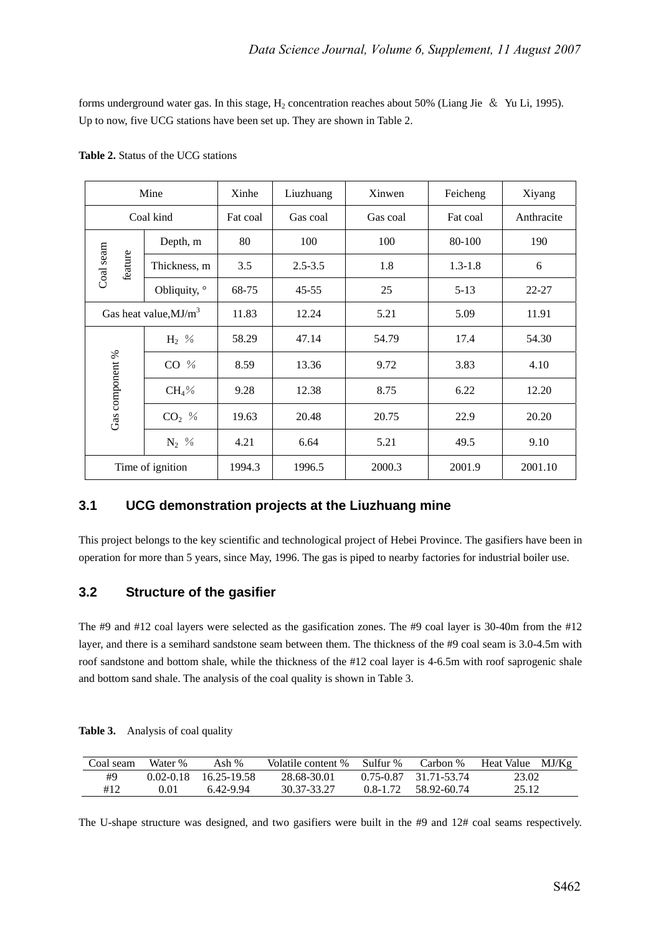forms underground water gas. In this stage,  $H_2$  concentration reaches about 50% (Liang Jie & Yu Li, 1995). Up to now, five UCG stations have been set up. They are shown in Table 2.

|                      | Mine                                 |       | Liuzhuang   | Xinwen   | Feicheng    | Xiyang     |
|----------------------|--------------------------------------|-------|-------------|----------|-------------|------------|
|                      | Coal kind                            |       | Gas coal    | Gas coal | Fat coal    | Anthracite |
|                      | Depth, m                             | 80    | 100         | 100      | 80-100      | 190        |
| Coal seam<br>feature | Thickness, m                         | 3.5   | $2.5 - 3.5$ | 1.8      | $1.3 - 1.8$ | 6          |
|                      | Obliquity, °                         | 68-75 | $45 - 55$   | 25       | $5-13$      | $22 - 27$  |
|                      | Gas heat value, $MJ/m^3$             |       | 12.24       | 5.21     | 5.09        | 11.91      |
|                      | $H_2$ %                              | 58.29 | 47.14       | 54.79    | 17.4        | 54.30      |
|                      | $CO$ %                               | 8.59  | 13.36       | 9.72     | 3.83        | 4.10       |
|                      | $CH_4\%$                             | 9.28  | 12.38       | 8.75     | 6.22        | 12.20      |
| Gas component %      | $CO2$ %                              | 19.63 | 20.48       | 20.75    | 22.9        | 20.20      |
|                      | $N_2$ %                              | 4.21  | 6.64        | 5.21     | 49.5        | 9.10       |
|                      | 1994.3<br>1996.5<br>Time of ignition |       | 2000.3      | 2001.9   | 2001.10     |            |

**Table 2.** Status of the UCG stations

## **3.1 UCG demonstration projects at the Liuzhuang mine**

This project belongs to the key scientific and technological project of Hebei Province. The gasifiers have been in operation for more than 5 years, since May, 1996. The gas is piped to nearby factories for industrial boiler use.

## **3.2 Structure of the gasifier**

The #9 and #12 coal layers were selected as the gasification zones. The #9 coal layer is 30-40m from the #12 layer, and there is a semihard sandstone seam between them. The thickness of the #9 coal seam is 3.0-4.5m with roof sandstone and bottom shale, while the thickness of the #12 coal layer is 4-6.5m with roof saprogenic shale and bottom sand shale. The analysis of the coal quality is shown in Table 3.

| Table 3. | Analysis of coal quality |  |
|----------|--------------------------|--|
|----------|--------------------------|--|

| Coal seam | Water %       | Ash %       | Volatile content % | Sulfur %     | Carbon %              | MJ/Kg<br>Heat Value |
|-----------|---------------|-------------|--------------------|--------------|-----------------------|---------------------|
| #9        | $0.02 - 0.18$ | 16.25-19.58 | 28.68-30.01        |              | 0.75-0.87 31.71-53.74 | 23.02               |
| #12       | 0.01          | 6.42-9.94   | 30.37-33.27        | $0.8 - 1.72$ | 58.92-60.74           | 25.12               |

The U-shape structure was designed, and two gasifiers were built in the #9 and 12# coal seams respectively.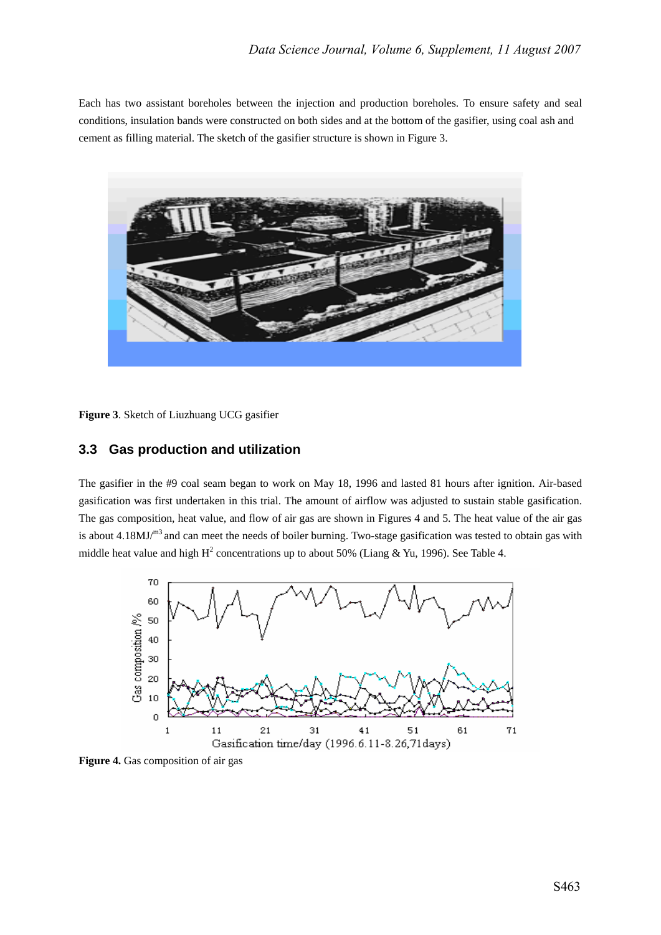Each has two assistant boreholes between the injection and production boreholes. To ensure safety and seal conditions, insulation bands were constructed on both sides and at the bottom of the gasifier, using coal ash and cement as filling material. The sketch of the gasifier structure is shown in Figure 3.



**Figure 3**. Sketch of Liuzhuang UCG gasifier

### **3.3 Gas production and utilization**

The gasifier in the #9 coal seam began to work on May 18, 1996 and lasted 81 hours after ignition. Air-based gasification was first undertaken in this trial. The amount of airflow was adjusted to sustain stable gasification. The gas composition, heat value, and flow of air gas are shown in Figures 4 and 5. The heat value of the air gas is about 4.18MJ/m3 and can meet the needs of boiler burning. Two-stage gasification was tested to obtain gas with middle heat value and high  $H^2$  concentrations up to about 50% (Liang & Yu, 1996). See Table 4.



**Figure 4.** Gas composition of air gas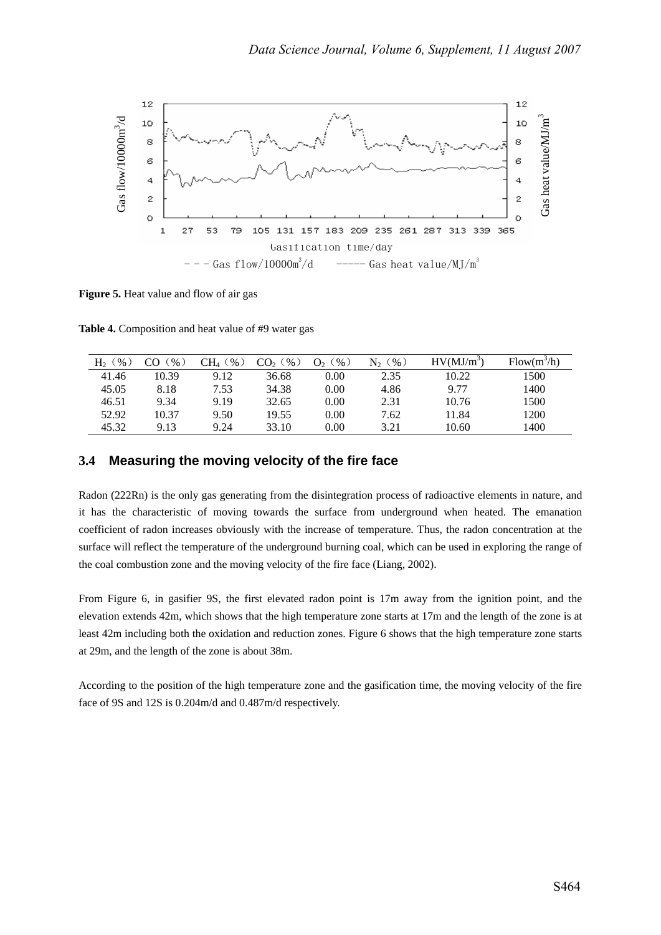

**Figure 5.** Heat value and flow of air gas

**Table 4.** Composition and heat value of #9 water gas

| H,<br>$\frac{9}{6}$ | $\%$  | $\%$<br>$\rm CH_{4}$ | $\%$ )<br>CO <sub>2</sub> | $\%$ )<br>$O_{2}$ | $\%$<br>N, | $HV(MJ/m^3)$ | $Flow(m^3/h)$ |
|---------------------|-------|----------------------|---------------------------|-------------------|------------|--------------|---------------|
| 41.46               | 10.39 | 9.12                 | 36.68                     | 0.00              | 2.35       | 10.22        | 1500          |
| 45.05               | 8.18  | 7.53                 | 34.38                     | 0.00              | 4.86       | 9.77         | 1400          |
| 46.51               | 9.34  | 9.19                 | 32.65                     | 0.00              | 2.31       | 10.76        | 1500          |
| 52.92               | 10.37 | 9.50                 | 19.55                     | 0.00              | 7.62       | 11.84        | 1200          |
| 45.32               | 9.13  | 9.24                 | 33.10                     | 0.00              | 3.21       | 10.60        | 1400          |

### **3.4 Measuring the moving velocity of the fire face**

Radon (222Rn) is the only gas generating from the disintegration process of radioactive elements in nature, and it has the characteristic of moving towards the surface from underground when heated. The emanation coefficient of radon increases obviously with the increase of temperature. Thus, the radon concentration at the surface will reflect the temperature of the underground burning coal, which can be used in exploring the range of the coal combustion zone and the moving velocity of the fire face (Liang, 2002).

From Figure 6, in gasifier 9S, the first elevated radon point is 17m away from the ignition point, and the elevation extends 42m, which shows that the high temperature zone starts at 17m and the length of the zone is at least 42m including both the oxidation and reduction zones. Figure 6 shows that the high temperature zone starts at 29m, and the length of the zone is about 38m.

According to the position of the high temperature zone and the gasification time, the moving velocity of the fire face of 9S and 12S is 0.204m/d and 0.487m/d respectively.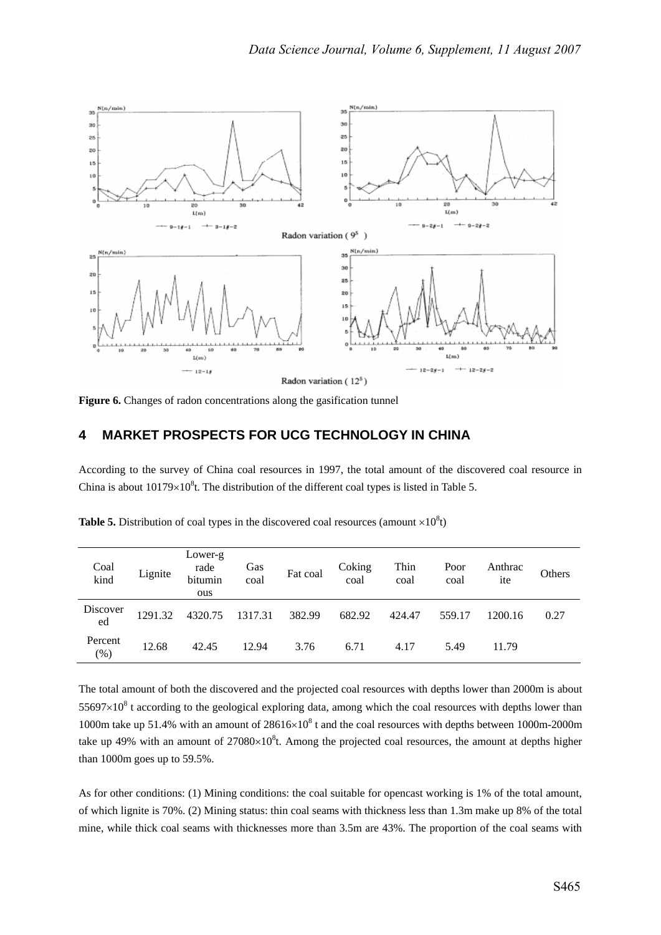

Figure 6. Changes of radon concentrations along the gasification tunnel

#### **4 MARKET PROSPECTS FOR UCG TECHNOLOGY IN CHINA**

According to the survey of China coal resources in 1997, the total amount of the discovered coal resource in China is about  $10179 \times 10^8$ t. The distribution of the different coal types is listed in Table 5.

| Coal<br>kind   | Lignite | Lower-g<br>rade<br>bitumin<br>ous | Gas<br>coal | Fat coal | Coking<br>coal | Thin<br>coal | Poor<br>coal | Anthrac<br>ite | Others |
|----------------|---------|-----------------------------------|-------------|----------|----------------|--------------|--------------|----------------|--------|
| Discover<br>ed | 1291.32 | 4320.75                           | 1317.31     | 382.99   | 682.92         | 424.47       | 559.17       | 1200.16        | 0.27   |
| Percent<br>(%) | 12.68   | 42.45                             | 12.94       | 3.76     | 6.71           | 4.17         | 5.49         | 11.79          |        |

**Table 5.** Distribution of coal types in the discovered coal resources (amount  $\times 10^8 t$ )

The total amount of both the discovered and the projected coal resources with depths lower than 2000m is about  $55697\times10^8$  t according to the geological exploring data, among which the coal resources with depths lower than 1000m take up 51.4% with an amount of  $28616\times10^{8}$  t and the coal resources with depths between 1000m-2000m take up 49% with an amount of  $27080 \times 10^8$ t. Among the projected coal resources, the amount at depths higher than 1000m goes up to 59.5%.

As for other conditions: (1) Mining conditions: the coal suitable for opencast working is 1% of the total amount, of which lignite is 70%. (2) Mining status: thin coal seams with thickness less than 1.3m make up 8% of the total mine, while thick coal seams with thicknesses more than 3.5m are 43%. The proportion of the coal seams with